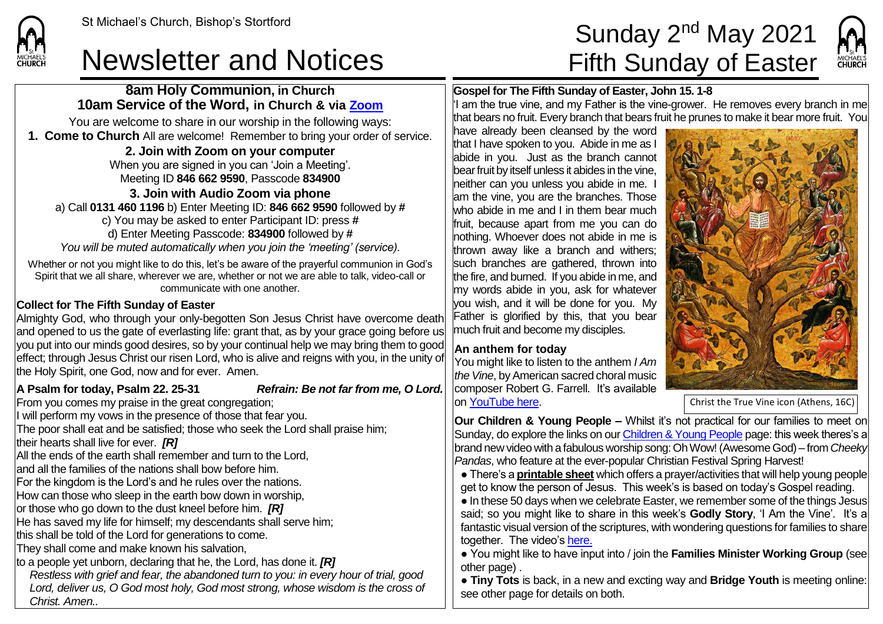## Newsletter and Notices Fifth Sunday of Easter

### **8am Holy Communion, in Church 10am Service of the Word, in Church & via [Zoom](https://zoom.us/)**

You are welcome to share in our worship in the following ways: **1. Come to Church** All are welcome! Remember to bring your order of service.

### **2. Join with Zoom on your computer**

When you are signed in you can 'Join a Meeting'. Meeting ID **846 662 9590**, Passcode **834900**

### **3. Join with Audio Zoom via phone**

a) Call **0131 460 1196** b) Enter Meeting ID: **846 662 9590** followed by **#** c) You may be asked to enter Participant ID: press **#** d) Enter Meeting Passcode: **834900** followed by **#** *You will be muted automatically when you join the 'meeting' (service).*

Whether or not you might like to do this, let's be aware of the prayerful communion in God's Spirit that we all share, wherever we are, whether or not we are able to talk, video-call or communicate with one another.

### **Collect for The Fifth Sunday of Easter**

Almighty God, who through your only-begotten Son Jesus Christ have overcome death and opened to us the gate of everlasting life: grant that, as by your grace going before us you put into our minds good desires, so by your continual help we may bring them to good effect; through Jesus Christ our risen Lord, who is alive and reigns with you, in the unity of the Holy Spirit, one God, now and for ever. Amen.

**A Psalm for today, Psalm 22. 25-31** *Refrain: Be not far from me, O Lord.*

From you comes my praise in the great congregation; I will perform my vows in the presence of those that fear you.

The poor shall eat and be satisfied; those who seek the Lord shall praise him;

their hearts shall live for ever. *[R]*

All the ends of the earth shall remember and turn to the Lord.

and all the families of the nations shall bow before him.

For the kingdom is the Lord's and he rules over the nations.

How can those who sleep in the earth bow down in worship,

or those who go down to the dust kneel before him. *[R]*

He has saved my life for himself; my descendants shall serve him;

this shall be told of the Lord for generations to come.

They shall come and make known his salvation,

to a people yet unborn, declaring that he, the Lord, has done it. *[R]*

*Restless with grief and fear, the abandoned turn to you: in every hour of trial, good Lord, deliver us, O God most holy, God most strong, whose wisdom is the cross of Christ. Amen..*

# St Michael's Church, Bishop's Stortford  $\textsf{Sunday}\ 2^{\textsf{nd}}\ \textsf{May}\ 2021$



### **Gospel for The Fifth Sunday of Easter, John 15. 1-8**

 $|I|$  am the true vine, and my Father is the vine-grower. He removes every branch in me that bears no fruit. Every branch that bears fruit he prunes to make it bear more fruit. You

have already been cleansed by the word that I have spoken to you. Abide in me as I abide in you. Just as the branch cannot bear fruit by itself unless it abides in the vine, neither can you unless you abide in me. I am the vine, you are the branches. Those who abide in me and I in them bear much fruit, because apart from me you can do nothing. Whoever does not abide in me is thrown away like a branch and withers; such branches are gathered, thrown into the fire, and burned. If you abide in me, and my words abide in you, ask for whatever you wish, and it will be done for you. My Father is glorified by this, that you bear much fruit and become my disciples.

### **An anthem for today**

You might like to listen to the anthem *I Am the Vine*, by American sacred choral music composer Robert G. Farrell. It's available o[n YouTube here.](https://www.youtube.com/watch?v=yKrP5P5aIqw)



Christ the True Vine icon (Athens, 16C)

**Our Children & Young People –** Whilst it's not practical for our families to meet on Sunday, do explore the links on ou[r Children & Young People](https://saintmichaelweb.org.uk/Groups/310496/Children_and_Young.aspx) page: this week theres's a brand new video with a fabulous worship song: Oh Wow! (Awesome God) – from *Cheeky Pandas*, who feature at the ever-popular Christian Festival Spring Harvest!

● There's a **[printable sheet](https://saintmichaelweb.org.uk/Groups/310496/Children_and_Young.aspx)** which offers a prayer/activities that will help young people get to know the person of Jesus. This week's is based on today's Gospel reading. ● In these 50 days when we celebrate Easter, we remember some of the things Jesus said; so you might like to share in this week's **Godly Story**, 'I Am the Vine'. It's a fantastic visual version of the scriptures, with wondering questions for families to share together. The video's [here.](https://www.youtube.com/watch?v=mwvjsPRndG4)

● You might like to have input into / join the **Families Minister Working Group** (see other page) .

● **Tiny Tots** is back, in a new and excting way and **Bridge Youth** is meeting online: see other page for details on both.